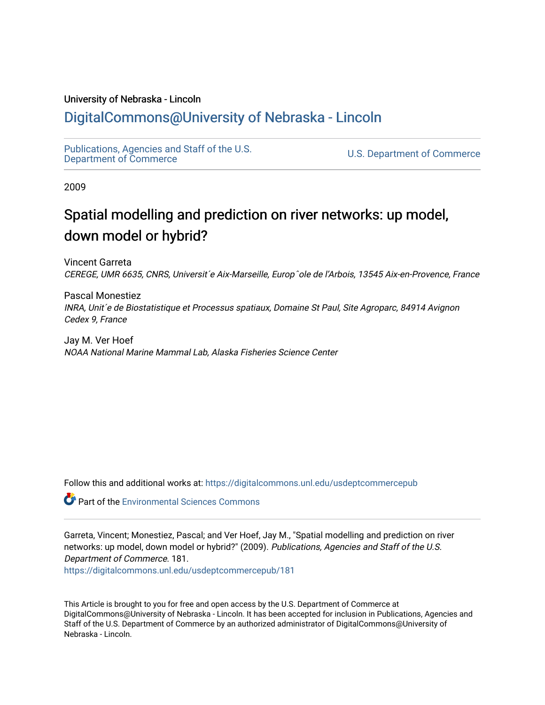# University of Nebraska - Lincoln

# [DigitalCommons@University of Nebraska - Lincoln](https://digitalcommons.unl.edu/)

[Publications, Agencies and Staff of the U.S.](https://digitalcommons.unl.edu/usdeptcommercepub)

U.S. [Department of Commerce](https://digitalcommons.unl.edu/usdeptcommercepub)

2009

# Spatial modelling and prediction on river networks: up model, down model or hybrid?

Vincent Garreta CEREGE, UMR 6635, CNRS, Universit´e Aix-Marseille, Europˆole de l'Arbois, 13545 Aix-en-Provence, France

Pascal Monestiez INRA, Unit´e de Biostatistique et Processus spatiaux, Domaine St Paul, Site Agroparc, 84914 Avignon Cedex 9, France

Jay M. Ver Hoef NOAA National Marine Mammal Lab, Alaska Fisheries Science Center

Follow this and additional works at: [https://digitalcommons.unl.edu/usdeptcommercepub](https://digitalcommons.unl.edu/usdeptcommercepub?utm_source=digitalcommons.unl.edu%2Fusdeptcommercepub%2F181&utm_medium=PDF&utm_campaign=PDFCoverPages)

Part of the [Environmental Sciences Commons](http://network.bepress.com/hgg/discipline/167?utm_source=digitalcommons.unl.edu%2Fusdeptcommercepub%2F181&utm_medium=PDF&utm_campaign=PDFCoverPages)

Garreta, Vincent; Monestiez, Pascal; and Ver Hoef, Jay M., "Spatial modelling and prediction on river networks: up model, down model or hybrid?" (2009). Publications, Agencies and Staff of the U.S. Department of Commerce. 181.

[https://digitalcommons.unl.edu/usdeptcommercepub/181](https://digitalcommons.unl.edu/usdeptcommercepub/181?utm_source=digitalcommons.unl.edu%2Fusdeptcommercepub%2F181&utm_medium=PDF&utm_campaign=PDFCoverPages) 

This Article is brought to you for free and open access by the U.S. Department of Commerce at DigitalCommons@University of Nebraska - Lincoln. It has been accepted for inclusion in Publications, Agencies and Staff of the U.S. Department of Commerce by an authorized administrator of DigitalCommons@University of Nebraska - Lincoln.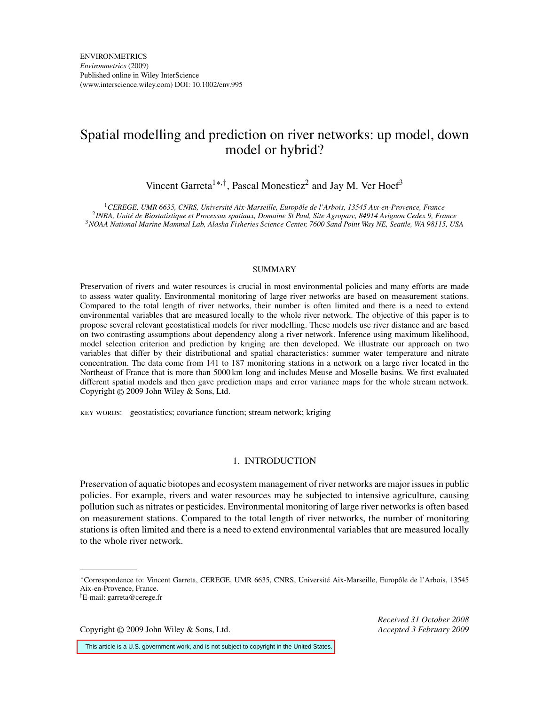# Spatial modelling and prediction on river networks: up model, down model or hybrid?

Vincent Garreta<sup>1∗,†</sup>, Pascal Monestiez<sup>2</sup> and Jay M. Ver Hoef<sup>3</sup>

<sup>1</sup>CEREGE, UMR 6635, CNRS, Université Aix-Marseille, Europôle de l'Arbois, 13545 Aix-en-Provence, France<br><sup>2</sup>INRA, Unité de Biostatistique et Processus spatiaux, Domaine St Paul, Site Agroparc, 84914 Avignon Cedex 9, Franc

#### SUMMARY

Preservation of rivers and water resources is crucial in most environmental policies and many efforts are made to assess water quality. Environmental monitoring of large river networks are based on measurement stations. Compared to the total length of river networks, their number is often limited and there is a need to extend environmental variables that are measured locally to the whole river network. The objective of this paper is to propose several relevant geostatistical models for river modelling. These models use river distance and are based on two contrasting assumptions about dependency along a river network. Inference using maximum likelihood, model selection criterion and prediction by kriging are then developed. We illustrate our approach on two variables that differ by their distributional and spatial characteristics: summer water temperature and nitrate concentration. The data come from 141 to 187 monitoring stations in a network on a large river located in the Northeast of France that is more than 5000 km long and includes Meuse and Moselle basins. We first evaluated different spatial models and then gave prediction maps and error variance maps for the whole stream network. Copyright © 2009 John Wiley & Sons, Ltd.

key words: geostatistics; covariance function; stream network; kriging

# 1. INTRODUCTION

Preservation of aquatic biotopes and ecosystem management of river networks are major issues in public policies. For example, rivers and water resources may be subjected to intensive agriculture, causing pollution such as nitrates or pesticides. Environmental monitoring of large river networks is often based on measurement stations. Compared to the total length of river networks, the number of monitoring stations is often limited and there is a need to extend environmental variables that are measured locally to the whole river network.

Copyright © 2009 John Wiley & Sons, Ltd. *Accepted 3 February 2009*

*Received 31 October 2008*

This article is a U.S. government work, and is not subject to copyright in the United States.

<sup>\*</sup>Correspondence to: Vincent Garreta, CEREGE, UMR 6635, CNRS, Université Aix-Marseille, Europôle de l'Arbois, 13545 Aix-en-Provence, France.

<sup>†</sup>E-mail: garreta@cerege.fr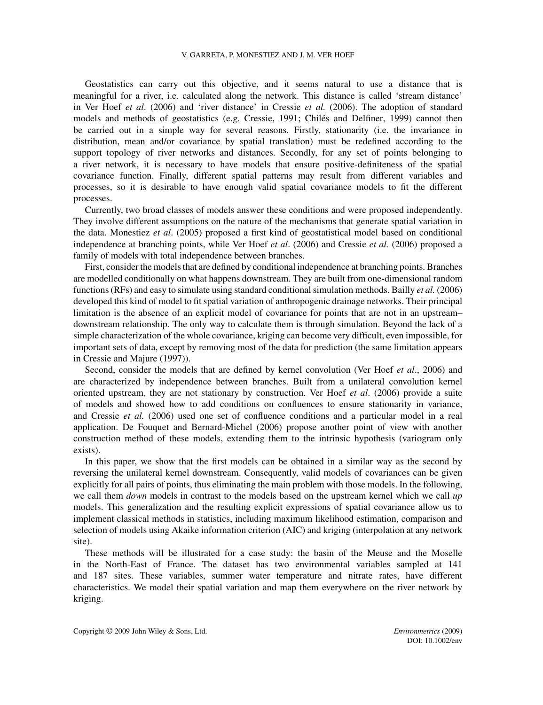#### V. GARRETA, P. MONESTIEZ AND J. M. VER HOEF

Geostatistics can carry out this objective, and it seems natural to use a distance that is meaningful for a river, i.e. calculated along the network. This distance is called 'stream distance' in Ver Hoef *et al*. (2006) and 'river distance' in Cressie *et al.* (2006). The adoption of standard models and methods of geostatistics (e.g. Cressie, 1991; Chilés and Delfiner, 1999) cannot then be carried out in a simple way for several reasons. Firstly, stationarity (i.e. the invariance in distribution, mean and/or covariance by spatial translation) must be redefined according to the support topology of river networks and distances. Secondly, for any set of points belonging to a river network, it is necessary to have models that ensure positive-definiteness of the spatial covariance function. Finally, different spatial patterns may result from different variables and processes, so it is desirable to have enough valid spatial covariance models to fit the different processes.

Currently, two broad classes of models answer these conditions and were proposed independently. They involve different assumptions on the nature of the mechanisms that generate spatial variation in the data. Monestiez *et al*. (2005) proposed a first kind of geostatistical model based on conditional independence at branching points, while Ver Hoef *et al*. (2006) and Cressie *et al.* (2006) proposed a family of models with total independence between branches.

First, consider the models that are defined by conditional independence at branching points. Branches are modelled conditionally on what happens downstream. They are built from one-dimensional random functions (RFs) and easy to simulate using standard conditional simulation methods. Bailly *et al.* (2006) developed this kind of model to fit spatial variation of anthropogenic drainage networks. Their principal limitation is the absence of an explicit model of covariance for points that are not in an upstream– downstream relationship. The only way to calculate them is through simulation. Beyond the lack of a simple characterization of the whole covariance, kriging can become very difficult, even impossible, for important sets of data, except by removing most of the data for prediction (the same limitation appears in Cressie and Majure (1997)).

Second, consider the models that are defined by kernel convolution (Ver Hoef *et al*., 2006) and are characterized by independence between branches. Built from a unilateral convolution kernel oriented upstream, they are not stationary by construction. Ver Hoef *et al*. (2006) provide a suite of models and showed how to add conditions on confluences to ensure stationarity in variance, and Cressie *et al.* (2006) used one set of confluence conditions and a particular model in a real application. De Fouquet and Bernard-Michel (2006) propose another point of view with another construction method of these models, extending them to the intrinsic hypothesis (variogram only exists).

In this paper, we show that the first models can be obtained in a similar way as the second by reversing the unilateral kernel downstream. Consequently, valid models of covariances can be given explicitly for all pairs of points, thus eliminating the main problem with those models. In the following, we call them *down* models in contrast to the models based on the upstream kernel which we call *up* models. This generalization and the resulting explicit expressions of spatial covariance allow us to implement classical methods in statistics, including maximum likelihood estimation, comparison and selection of models using Akaike information criterion (AIC) and kriging (interpolation at any network site).

These methods will be illustrated for a case study: the basin of the Meuse and the Moselle in the North-East of France. The dataset has two environmental variables sampled at 141 and 187 sites. These variables, summer water temperature and nitrate rates, have different characteristics. We model their spatial variation and map them everywhere on the river network by kriging.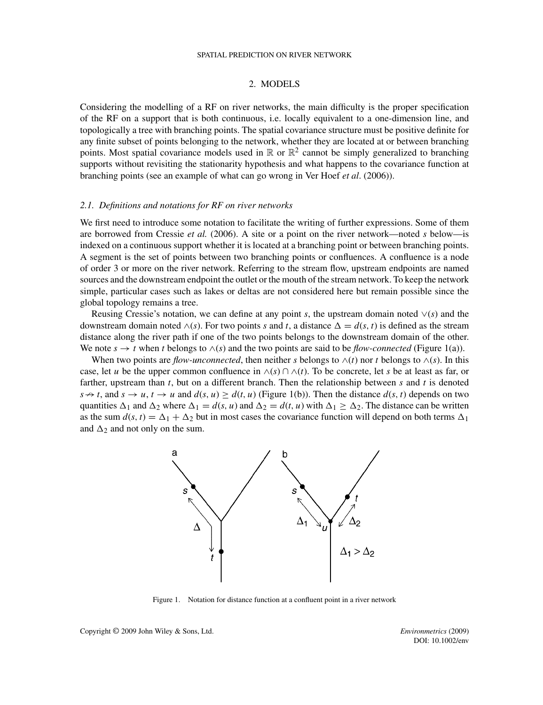#### SPATIAL PREDICTION ON RIVER NETWORK

#### 2. MODELS

Considering the modelling of a RF on river networks, the main difficulty is the proper specification of the RF on a support that is both continuous, i.e. locally equivalent to a one-dimension line, and topologically a tree with branching points. The spatial covariance structure must be positive definite for any finite subset of points belonging to the network, whether they are located at or between branching points. Most spatial covariance models used in  $\mathbb{R}$  or  $\mathbb{R}^2$  cannot be simply generalized to branching supports without revisiting the stationarity hypothesis and what happens to the covariance function at branching points (see an example of what can go wrong in Ver Hoef *et al*. (2006)).

#### *2.1. Definitions and notations for RF on river networks*

We first need to introduce some notation to facilitate the writing of further expressions. Some of them are borrowed from Cressie *et al.* (2006). A site or a point on the river network—noted *s* below—is indexed on a continuous support whether it is located at a branching point or between branching points. A segment is the set of points between two branching points or confluences. A confluence is a node of order 3 or more on the river network. Referring to the stream flow, upstream endpoints are named sources and the downstream endpoint the outlet or the mouth of the stream network. To keep the network simple, particular cases such as lakes or deltas are not considered here but remain possible since the global topology remains a tree.

Reusing Cressie's notation, we can define at any point *s*, the upstream domain noted ∨(*s*) and the downstream domain noted  $\wedge$ (*s*). For two points *s* and *t*, a distance  $\Delta = d(s, t)$  is defined as the stream distance along the river path if one of the two points belongs to the downstream domain of the other. We note  $s \to t$  when *t* belongs to  $\land$ (*s*) and the two points are said to be *flow-connected* (Figure 1(a)).

When two points are *flow-unconnected*, then neither *s* belongs to  $\wedge$ (*t*) nor *t* belongs to  $\wedge$ (*s*). In this case, let *u* be the upper common confluence in  $\land$ (*s*)  $\cap$   $\land$ (*t*). To be concrete, let *s* be at least as far, or farther, upstream than *t*, but on a different branch. Then the relationship between *s* and *t* is denoted  $s \nightharpoonup t$ , and  $s \rightarrow u$ ,  $t \rightarrow u$  and  $d(s, u) \geq d(t, u)$  (Figure 1(b)). Then the distance  $d(s, t)$  depends on two quantities  $\Delta_1$  and  $\Delta_2$  where  $\Delta_1 = d(s, u)$  and  $\Delta_2 = d(t, u)$  with  $\Delta_1 \geq \Delta_2$ . The distance can be written as the sum  $d(s, t) = \Delta_1 + \Delta_2$  but in most cases the covariance function will depend on both terms  $\Delta_1$ and  $\Delta_2$  and not only on the sum.



Figure 1. Notation for distance function at a confluent point in a river network

Copyright © 2009 John Wiley & Sons, Ltd. *Environmetrics* (2009)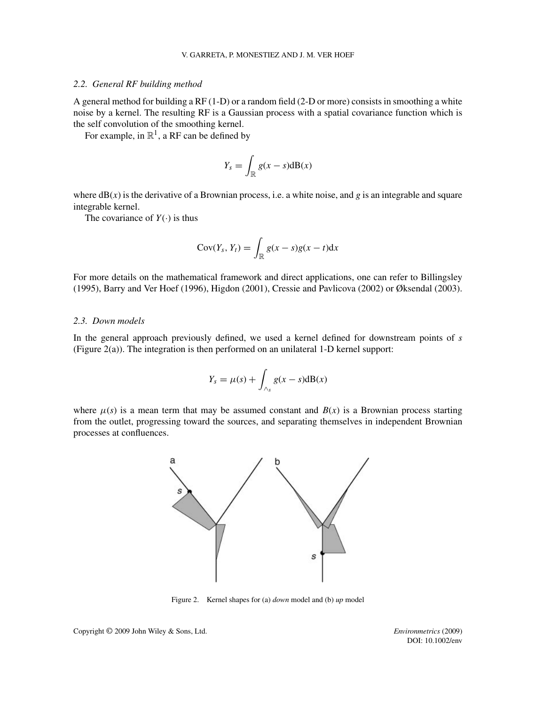#### *2.2. General RF building method*

A general method for building a RF (1-D) or a random field (2-D or more) consists in smoothing a white noise by a kernel. The resulting RF is a Gaussian process with a spatial covariance function which is the self convolution of the smoothing kernel.

For example, in  $\mathbb{R}^1$ , a RF can be defined by

$$
Y_s = \int_{\mathbb{R}} g(x - s) \mathrm{dB}(x)
$$

where  $dB(x)$  is the derivative of a Brownian process, i.e. a white noise, and *g* is an integrable and square integrable kernel.

The covariance of  $Y(\cdot)$  is thus

$$
Cov(Y_s, Y_t) = \int_{\mathbb{R}} g(x - s)g(x - t)dx
$$

For more details on the mathematical framework and direct applications, one can refer to Billingsley (1995), Barry and Ver Hoef (1996), Higdon (2001), Cressie and Pavlicova (2002) or Øksendal (2003).

# *2.3. Down models*

In the general approach previously defined, we used a kernel defined for downstream points of *s* (Figure 2(a)). The integration is then performed on an unilateral 1-D kernel support:

$$
Y_s = \mu(s) + \int_{\wedge_s} g(x - s) \mathrm{dB}(x)
$$

where  $\mu(s)$  is a mean term that may be assumed constant and  $B(x)$  is a Brownian process starting from the outlet, progressing toward the sources, and separating themselves in independent Brownian processes at confluences.



Figure 2. Kernel shapes for (a) *down* model and (b) *up* model

```
Copyright © 2009 John Wiley & Sons, Ltd. Environmetrics (2009)
```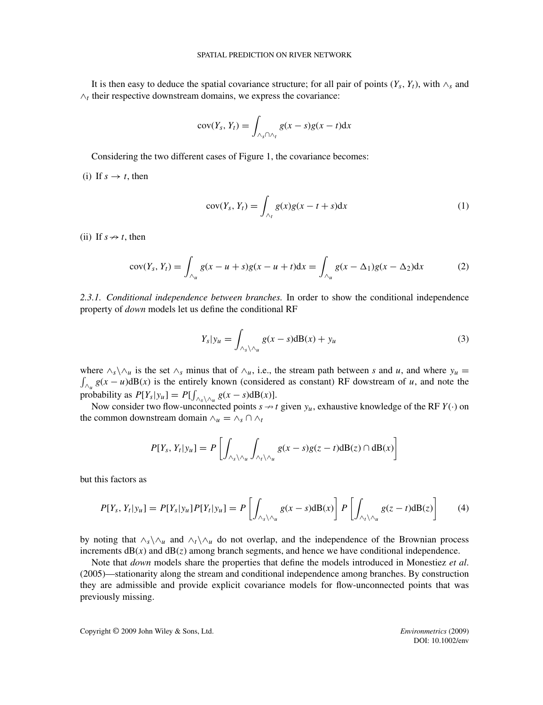It is then easy to deduce the spatial covariance structure; for all pair of points  $(Y_s, Y_t)$ , with  $\wedge_s$  and  $\wedge_t$  their respective downstream domains, we express the covariance:

$$
cov(Y_s, Y_t) = \int_{\wedge_s \cap \wedge_t} g(x - s)g(x - t)dx
$$

Considering the two different cases of Figure 1, the covariance becomes:

(i) If  $s \rightarrow t$ , then

$$
cov(Y_s, Y_t) = \int_{\wedge_t} g(x)g(x - t + s)dx
$$
 (1)

(ii) If  $s \leftrightarrow t$ , then

$$
cov(Y_s, Y_t) = \int_{\wedge_u} g(x - u + s)g(x - u + t)dx = \int_{\wedge_u} g(x - \Delta_1)g(x - \Delta_2)dx
$$
 (2)

*2.3.1. Conditional independence between branches.* In order to show the conditional independence property of *down* models let us define the conditional RF

$$
Y_s|y_u = \int_{\wedge_s \wedge \wedge_u} g(x - s) \mathrm{dB}(x) + y_u \tag{3}
$$

where  $\wedge_s\wedge_\alpha u$  is the set  $\wedge_s$  minus that of  $\wedge_u$ , i.e., the stream path between *s* and *u*, and where  $y_u =$  $\int_{\wedge_u} g(x-u) dB(x)$  is the entirely known (considered as constant) RF dowstream of *u*, and note the probability as  $P[Y_s|y_u] = P[\int_{\wedge_s \setminus \wedge_u} g(x-s) \, \mathrm{d}B(x)].$ 

Now consider two flow-unconnected points  $s \nightharpoonup t$  given  $y_u$ , exhaustive knowledge of the RF  $Y(\cdot)$  on the common downstream domain  $\wedge_u = \wedge_s \cap \wedge_t$ 

$$
P[Y_s, Y_t | y_u] = P\left[\int_{\wedge_s \setminus \wedge_u} \int_{\wedge_t \setminus \wedge_u} g(x-s)g(z-t)dB(z) \cap dB(x)\right]
$$

but this factors as

$$
P[Y_s, Y_t | y_u] = P[Y_s | y_u] P[Y_t | y_u] = P\left[\int_{\wedge_s \setminus \wedge_u} g(x - s) \mathrm{d}B(x)\right] P\left[\int_{\wedge_t \setminus \wedge_u} g(z - t) \mathrm{d}B(z)\right] \tag{4}
$$

by noting that  $\wedge_s\wedge_\mathcal{U}$  and  $\wedge_t\wedge_\mathcal{U}$  do not overlap, and the independence of the Brownian process increments  $dB(x)$  and  $dB(z)$  among branch segments, and hence we have conditional independence.

Note that *down* models share the properties that define the models introduced in Monestiez *et al*. (2005)—stationarity along the stream and conditional independence among branches. By construction they are admissible and provide explicit covariance models for flow-unconnected points that was previously missing.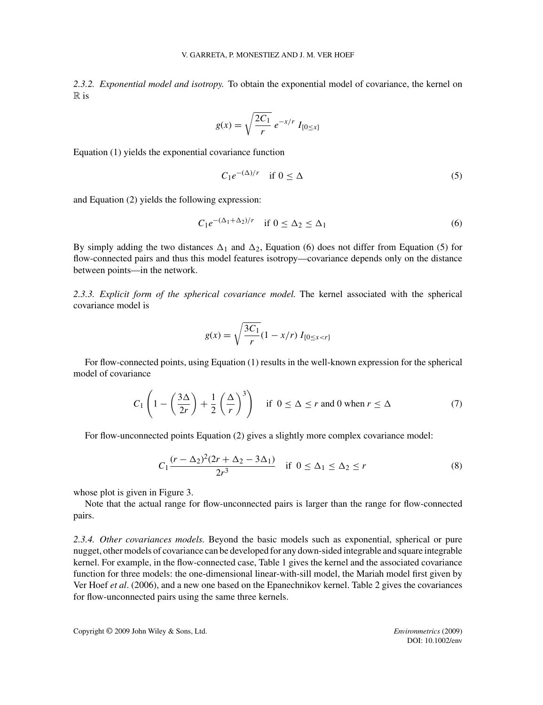*2.3.2. Exponential model and isotropy.* To obtain the exponential model of covariance, the kernel on R is

$$
g(x) = \sqrt{\frac{2C_1}{r}} e^{-x/r} I_{\{0 \le x\}}
$$

Equation (1) yields the exponential covariance function

$$
C_1 e^{-(\Delta)/r} \quad \text{if } 0 \le \Delta \tag{5}
$$

and Equation (2) yields the following expression:

$$
C_1 e^{-(\Delta_1 + \Delta_2)/r} \quad \text{if } 0 \le \Delta_2 \le \Delta_1 \tag{6}
$$

By simply adding the two distances  $\Delta_1$  and  $\Delta_2$ , Equation (6) does not differ from Equation (5) for flow-connected pairs and thus this model features isotropy—covariance depends only on the distance between points—in the network.

*2.3.3. Explicit form of the spherical covariance model.* The kernel associated with the spherical covariance model is

$$
g(x) = \sqrt{\frac{3C_1}{r}} (1 - x/r) I_{\{0 \le x < r\}}
$$

For flow-connected points, using Equation (1) results in the well-known expression for the spherical model of covariance

$$
C_1 \left( 1 - \left( \frac{3\Delta}{2r} \right) + \frac{1}{2} \left( \frac{\Delta}{r} \right)^3 \right) \quad \text{if } 0 \le \Delta \le r \text{ and } 0 \text{ when } r \le \Delta \tag{7}
$$

For flow-unconnected points Equation (2) gives a slightly more complex covariance model:

$$
C_1 \frac{(r - \Delta_2)^2 (2r + \Delta_2 - 3\Delta_1)}{2r^3} \quad \text{if } 0 \le \Delta_1 \le \Delta_2 \le r \tag{8}
$$

whose plot is given in Figure 3.

Note that the actual range for flow-unconnected pairs is larger than the range for flow-connected pairs.

*2.3.4. Other covariances models.* Beyond the basic models such as exponential, spherical or pure nugget, other models of covariance can be developed for any down-sided integrable and square integrable kernel. For example, in the flow-connected case, Table 1 gives the kernel and the associated covariance function for three models: the one-dimensional linear-with-sill model, the Mariah model first given by Ver Hoef *et al*. (2006), and a new one based on the Epanechnikov kernel. Table 2 gives the covariances for flow-unconnected pairs using the same three kernels.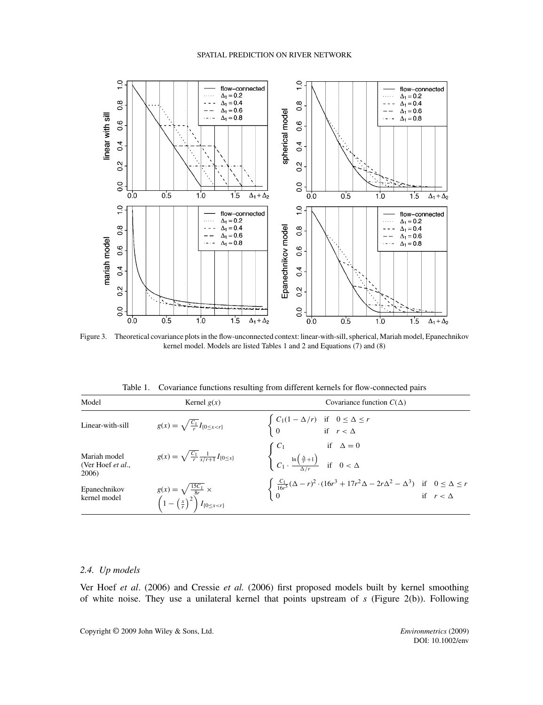

Figure 3. Theoretical covariance plots in the flow-unconnected context: linear-with-sill, spherical, Mariah model, Epanechnikov kernel model. Models are listed Tables 1 and 2 and Equations (7) and (8)

Table 1. Covariance functions resulting from different kernels for flow-connected pairs

| Model                                              | Covariance function $C(\Delta)$<br>Kernel $g(x)$                                                            |                                                                                                                                                                                                       |  |  |
|----------------------------------------------------|-------------------------------------------------------------------------------------------------------------|-------------------------------------------------------------------------------------------------------------------------------------------------------------------------------------------------------|--|--|
| Linear-with-sill                                   | $g(x) = \sqrt{\frac{C_1}{r}} I_{\{0 \le x < r\}}$                                                           | $\begin{cases}\nC_1(1-\Delta/r) & \text{if } 0 \leq \Delta \leq r \\ 0 & \text{if } r < \Delta\n\end{cases}$                                                                                          |  |  |
| Mariah model<br>(Ver Hoef <i>et al.</i> ,<br>2006) | $g(x) = \sqrt{\frac{C_1}{r}} \frac{1}{x/r+1} I_{\{0 \leq x\}}$                                              | $\begin{cases} C_1 & \text{if } \Delta = 0 \\ C_1 \cdot \frac{\ln(\frac{\Delta}{r} + 1)}{\Delta/r} & \text{if } 0 < \Delta \end{cases}$                                                               |  |  |
| Epanechnikov<br>kernel model                       | $g(x) = \sqrt{\frac{15C_1}{8r}} \times$<br>$\left(1 - \left(\frac{x}{r}\right)^2\right)I_{\{0 \le x < r\}}$ | $\label{eq:2.1} \left\{ \begin{array}{lll} \frac{C_1}{16r^5}(\Delta-r)^2\cdot(16r^3+17r^2\Delta-2r\Delta^2-\Delta^3) & \mbox{if} & 0\leq \Delta\leq r\\ 0 & \mbox{if} & r<\Delta \end{array} \right.$ |  |  |

# *2.4. Up models*

Ver Hoef *et al*. (2006) and Cressie *et al.* (2006) first proposed models built by kernel smoothing of white noise. They use a unilateral kernel that points upstream of *s* (Figure 2(b)). Following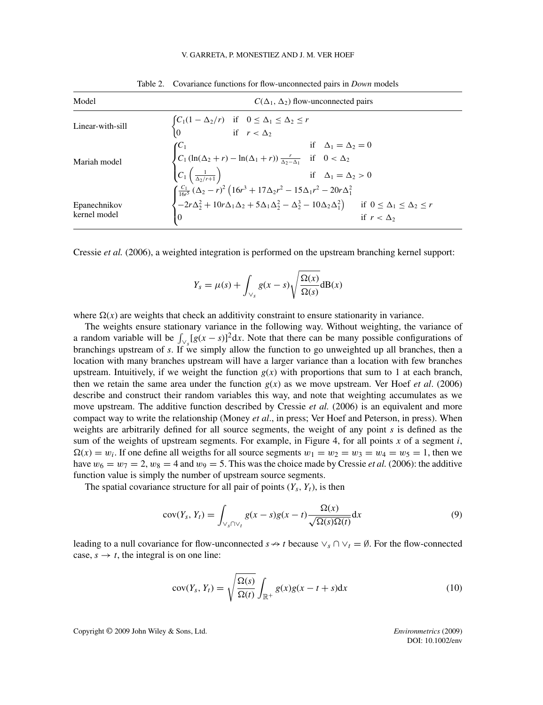| Model                        | $C(\Delta_1, \Delta_2)$ flow-unconnected pairs                                                                                                                                                                                                                                                                                                                                                                                   |  |  |  |  |
|------------------------------|----------------------------------------------------------------------------------------------------------------------------------------------------------------------------------------------------------------------------------------------------------------------------------------------------------------------------------------------------------------------------------------------------------------------------------|--|--|--|--|
| Linear-with-sill             | $\begin{cases} C_1(1-\Delta_2/r) & \text{if } 0 \leq \Delta_1 \leq \Delta_2 \leq r \\ 0 & \text{if } r < \Delta_2 \end{cases}$                                                                                                                                                                                                                                                                                                   |  |  |  |  |
| Mariah model                 | $\begin{cases} C_1 & \text{if} \quad \Delta_1 = \Delta_2 = 0 \\ C_1 \left( \ln(\Delta_2 + r) - \ln(\Delta_1 + r) \right) \frac{r}{\Delta_2 - \Delta_1} & \text{if} \quad 0 < \Delta_2 \\ C_1 \left( \frac{1}{\Delta_2 / r + 1} \right) & \text{if} \quad \Delta_1 = \Delta_2 > 0 \\ \int_{\frac{C_1}{16r^5}}^{C_1} (\Delta_2 - r)^2 \left( 16r^3 + 17\Delta_2 r^2 - 15\Delta_1 r^2 - 20r\Delta_1^2 \right) \\ -2r\Delta_2^2 + 1$ |  |  |  |  |
| Epanechnikov<br>kernel model | if $r < \Delta_2$                                                                                                                                                                                                                                                                                                                                                                                                                |  |  |  |  |

Table 2. Covariance functions for flow-unconnected pairs in *Down* models

Cressie *et al.* (2006), a weighted integration is performed on the upstream branching kernel support:

$$
Y_s = \mu(s) + \int_{\vee_s} g(x-s) \sqrt{\frac{\Omega(x)}{\Omega(s)}} dB(x)
$$

where  $\Omega(x)$  are weights that check an additivity constraint to ensure stationarity in variance.

The weights ensure stationary variance in the following way. Without weighting, the variance of a random variable will be  $\int_{\sqrt{s}} [g(x-s)]^2 dx$ . Note that there can be many possible configurations of ∨*s* branchings upstream of *s*. If we simply allow the function to go unweighted up all branches, then a location with many branches upstream will have a larger variance than a location with few branches upstream. Intuitively, if we weight the function  $g(x)$  with proportions that sum to 1 at each branch, then we retain the same area under the function  $g(x)$  as we move upstream. Ver Hoef *et al.* (2006) describe and construct their random variables this way, and note that weighting accumulates as we move upstream. The additive function described by Cressie *et al.* (2006) is an equivalent and more compact way to write the relationship (Money *et al*., in press; Ver Hoef and Peterson, in press). When weights are arbitrarily defined for all source segments, the weight of any point *s* is defined as the sum of the weights of upstream segments. For example, in Figure 4, for all points *x* of a segment *i*,  $\Omega(x) = w_i$ . If one define all weigths for all source segments  $w_1 = w_2 = w_3 = w_4 = w_5 = 1$ , then we have  $w_6 = w_7 = 2$ ,  $w_8 = 4$  and  $w_9 = 5$ . This was the choice made by Cressie *et al.* (2006): the additive function value is simply the number of upstream source segments.

The spatial covariance structure for all pair of points  $(Y_s, Y_t)$ , is then

$$
cov(Y_s, Y_t) = \int_{\vee_s \cap \vee_t} g(x - s)g(x - t) \frac{\Omega(x)}{\sqrt{\Omega(s)\Omega(t)}} dx
$$
\n(9)

leading to a null covariance for flow-unconnected  $s \nightharpoonup t$  because  $\vee_s \cap \vee_t = \emptyset$ . For the flow-connected case,  $s \rightarrow t$ , the integral is on one line:

$$
cov(Y_s, Y_t) = \sqrt{\frac{\Omega(s)}{\Omega(t)}} \int_{\mathbb{R}^+} g(x)g(x - t + s)dx
$$
\n(10)

Copyright © 2009 John Wiley & Sons, Ltd. *Environmetrics* (2009)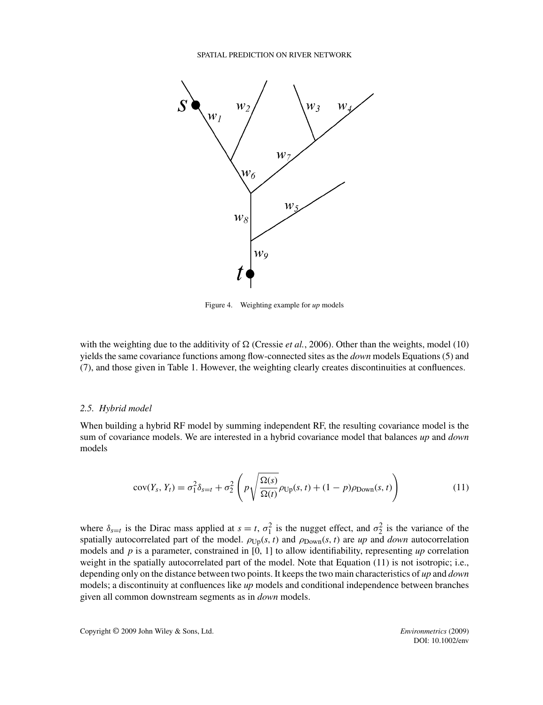

Figure 4. Weighting example for *up* models

with the weighting due to the additivity of  $\Omega$  (Cressie *et al.*, 2006). Other than the weights, model (10) yields the same covariance functions among flow-connected sites as the *down* models Equations (5) and (7), and those given in Table 1. However, the weighting clearly creates discontinuities at confluences.

#### *2.5. Hybrid model*

When building a hybrid RF model by summing independent RF, the resulting covariance model is the sum of covariance models. We are interested in a hybrid covariance model that balances *up* and *down* models

$$
cov(Y_s, Y_t) = \sigma_1^2 \delta_{s=t} + \sigma_2^2 \left( p \sqrt{\frac{\Omega(s)}{\Omega(t)}} \rho_{Up}(s, t) + (1 - p) \rho_{Down}(s, t) \right)
$$
(11)

where  $\delta_{s=t}$  is the Dirac mass applied at  $s = t$ ,  $\sigma_1^2$  is the nugget effect, and  $\sigma_2^2$  is the variance of the spatially autocorrelated part of the model.  $\rho_{Up}(s, t)$  and  $\rho_{Down}(s, t)$  are *up* and *down* autocorrelation models and  $p$  is a parameter, constrained in  $[0, 1]$  to allow identifiability, representing  $up$  correlation weight in the spatially autocorrelated part of the model. Note that Equation (11) is not isotropic; i.e., depending only on the distance between two points. It keeps the two main characteristics of *up* and *down* models; a discontinuity at confluences like *up* models and conditional independence between branches given all common downstream segments as in *down* models.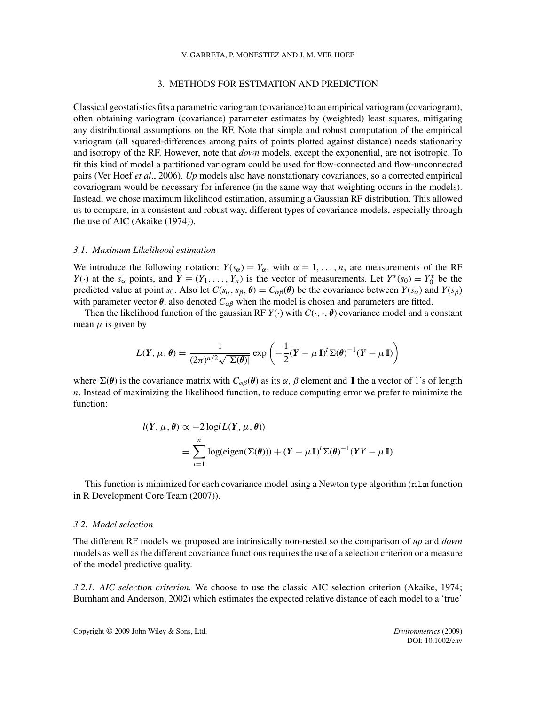#### 3. METHODS FOR ESTIMATION AND PREDICTION

Classical geostatistics fits a parametric variogram (covariance) to an empirical variogram (covariogram), often obtaining variogram (covariance) parameter estimates by (weighted) least squares, mitigating any distributional assumptions on the RF. Note that simple and robust computation of the empirical variogram (all squared-differences among pairs of points plotted against distance) needs stationarity and isotropy of the RF. However, note that *down* models, except the exponential, are not isotropic. To fit this kind of model a partitioned variogram could be used for flow-connected and flow-unconnected pairs (Ver Hoef *et al*., 2006). *Up* models also have nonstationary covariances, so a corrected empirical covariogram would be necessary for inference (in the same way that weighting occurs in the models). Instead, we chose maximum likelihood estimation, assuming a Gaussian RF distribution. This allowed us to compare, in a consistent and robust way, different types of covariance models, especially through the use of AIC (Akaike (1974)).

# *3.1. Maximum Likelihood estimation*

We introduce the following notation:  $Y(s_\alpha) = Y_\alpha$ , with  $\alpha = 1, \ldots, n$ , are measurements of the RF *Y*(·) at the *s<sub>α</sub>* points, and  $Y \equiv (Y_1, \ldots, Y_n)$  is the vector of measurements. Let  $Y^*(s_0) = Y_0^*$  be the predicted value at point *s*<sub>0</sub>. Also let  $C(s_\alpha, s_\beta, \theta) = C_{\alpha\beta}(\theta)$  be the covariance between  $Y(s_\alpha)$  and  $Y(s_\beta)$ with parameter vector  $\theta$ , also denoted  $C_{\alpha\beta}$  when the model is chosen and parameters are fitted.

Then the likelihood function of the gaussian RF  $Y(\cdot)$  with  $C(\cdot, \cdot, \theta)$  covariance model and a constant mean  $\mu$  is given by

$$
L(Y, \mu, \theta) = \frac{1}{(2\pi)^{n/2}\sqrt{|\Sigma(\theta)|}} \exp\left(-\frac{1}{2}(Y - \mu \mathbb{I})^t \Sigma(\theta)^{-1}(Y - \mu \mathbb{I})\right)
$$

where  $\Sigma(\theta)$  is the covariance matrix with  $C_{\alpha\beta}(\theta)$  as its  $\alpha$ ,  $\beta$  element and 1 the a vector of 1's of length *n*. Instead of maximizing the likelihood function, to reduce computing error we prefer to minimize the function:

$$
l(Y, \mu, \theta) \propto -2 \log(L(Y, \mu, \theta))
$$
  
= 
$$
\sum_{i=1}^{n} \log(\text{eigen}(\Sigma(\theta))) + (Y - \mu I)^{t} \Sigma(\theta)^{-1} (YY - \mu I)
$$

This function is minimized for each covariance model using a Newton type algorithm  $(n 1m$  function in R Development Core Team (2007)).

#### *3.2. Model selection*

The different RF models we proposed are intrinsically non-nested so the comparison of *up* and *down* models as well as the different covariance functions requires the use of a selection criterion or a measure of the model predictive quality.

*3.2.1. AIC selection criterion.* We choose to use the classic AIC selection criterion (Akaike, 1974; Burnham and Anderson, 2002) which estimates the expected relative distance of each model to a 'true'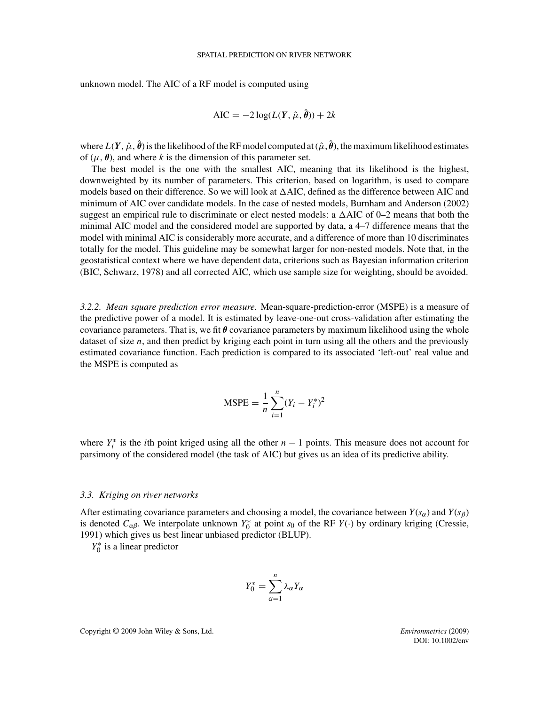unknown model. The AIC of a RF model is computed using

$$
AIC = -2\log(L(Y, \hat{\mu}, \hat{\theta})) + 2k
$$

where  $L(Y, \hat{\mu}, \hat{\theta})$  is the likelihood of the RF model computed at  $(\hat{\mu}, \hat{\theta})$ , the maximum likelihood estimates of  $(\mu, \theta)$ , and where *k* is the dimension of this parameter set.

The best model is the one with the smallest AIC, meaning that its likelihood is the highest, downweighted by its number of parameters. This criterion, based on logarithm, is used to compare models based on their difference. So we will look at  $\triangle AIC$ , defined as the difference between AIC and minimum of AIC over candidate models. In the case of nested models, Burnham and Anderson (2002) suggest an empirical rule to discriminate or elect nested models: a  $\triangle AIC$  of 0–2 means that both the minimal AIC model and the considered model are supported by data, a 4–7 difference means that the model with minimal AIC is considerably more accurate, and a difference of more than 10 discriminates totally for the model. This guideline may be somewhat larger for non-nested models. Note that, in the geostatistical context where we have dependent data, criterions such as Bayesian information criterion (BIC, Schwarz, 1978) and all corrected AIC, which use sample size for weighting, should be avoided.

*3.2.2. Mean square prediction error measure.* Mean-square-prediction-error (MSPE) is a measure of the predictive power of a model. It is estimated by leave-one-out cross-validation after estimating the covariance parameters. That is, we fit *θ* covariance parameters by maximum likelihood using the whole dataset of size *n*, and then predict by kriging each point in turn using all the others and the previously estimated covariance function. Each prediction is compared to its associated 'left-out' real value and the MSPE is computed as

$$
MSPE = \frac{1}{n} \sum_{i=1}^{n} (Y_i - Y_i^*)^2
$$

where  $Y_i^*$  is the *i*th point kriged using all the other *n* − 1 points. This measure does not account for parsimony of the considered model (the task of AIC) but gives us an idea of its predictive ability.

#### *3.3. Kriging on river networks*

After estimating covariance parameters and choosing a model, the covariance between  $Y(s_\alpha)$  and  $Y(s_\beta)$ is denoted  $C_{\alpha\beta}$ . We interpolate unknown  $Y_0^*$  at point  $s_0$  of the RF  $Y(\cdot)$  by ordinary kriging (Cressie, 1991) which gives us best linear unbiased predictor (BLUP).

*Y*<sup>∗</sup> is a linear predictor

$$
Y_0^* = \sum_{\alpha=1}^n \lambda_\alpha Y_\alpha
$$

Copyright © 2009 John Wiley & Sons, Ltd. *Environmetrics* (2009)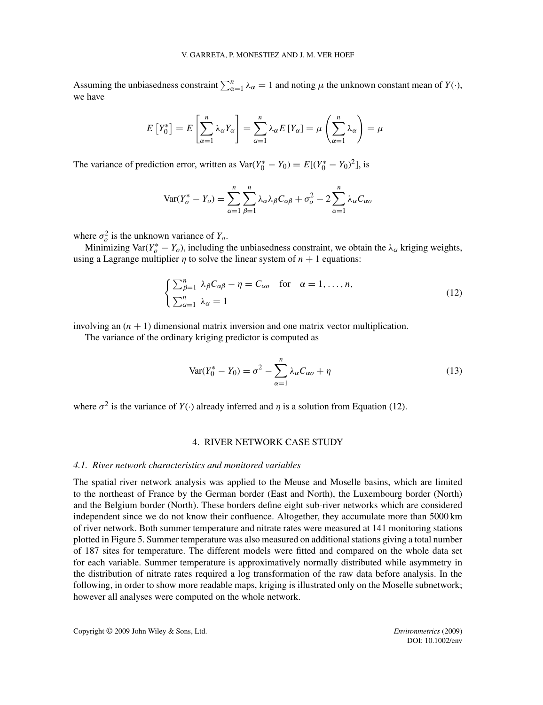Assuming the unbiasedness constraint  $\sum_{\alpha=1}^{n} \lambda_{\alpha} = 1$  and noting  $\mu$  the unknown constant mean of *Y*(·), we have

$$
E[Y_0^*] = E\left[\sum_{\alpha=1}^n \lambda_\alpha Y_\alpha\right] = \sum_{\alpha=1}^n \lambda_\alpha E[Y_\alpha] = \mu \left(\sum_{\alpha=1}^n \lambda_\alpha\right) = \mu
$$

The variance of prediction error, written as  $Var(Y_0^* - Y_0) = E[(Y_0^* - Y_0)^2]$ , is

$$
\text{Var}(Y_o^* - Y_o) = \sum_{\alpha=1}^n \sum_{\beta=1}^n \lambda_\alpha \lambda_\beta C_{\alpha\beta} + \sigma_o^2 - 2 \sum_{\alpha=1}^n \lambda_\alpha C_{\alpha o}
$$

where  $\sigma_o^2$  is the unknown variance of  $Y_o$ .

Minimizing Var( $Y_o^* - Y_o$ ), including the unbiasedness constraint, we obtain the  $\lambda_\alpha$  kriging weights, using a Lagrange multiplier *η* to solve the linear system of  $n + 1$  equations:

$$
\begin{cases} \sum_{\beta=1}^{n} \lambda_{\beta} C_{\alpha\beta} - \eta = C_{\alpha o} & \text{for } \alpha = 1, ..., n, \\ \sum_{\alpha=1}^{n} \lambda_{\alpha} = 1 & \end{cases}
$$
 (12)

involving an  $(n + 1)$  dimensional matrix inversion and one matrix vector multiplication.

The variance of the ordinary kriging predictor is computed as

$$
\text{Var}(Y_0^* - Y_0) = \sigma^2 - \sum_{\alpha=1}^n \lambda_\alpha C_{\alpha\sigma} + \eta \tag{13}
$$

where  $\sigma^2$  is the variance of *Y*(·) already inferred and *η* is a solution from Equation (12).

### 4. RIVER NETWORK CASE STUDY

#### *4.1. River network characteristics and monitored variables*

The spatial river network analysis was applied to the Meuse and Moselle basins, which are limited to the northeast of France by the German border (East and North), the Luxembourg border (North) and the Belgium border (North). These borders define eight sub-river networks which are considered independent since we do not know their confluence. Altogether, they accumulate more than 5000 km of river network. Both summer temperature and nitrate rates were measured at 141 monitoring stations plotted in Figure 5. Summer temperature was also measured on additional stations giving a total number of 187 sites for temperature. The different models were fitted and compared on the whole data set for each variable. Summer temperature is approximatively normally distributed while asymmetry in the distribution of nitrate rates required a log transformation of the raw data before analysis. In the following, in order to show more readable maps, kriging is illustrated only on the Moselle subnetwork; however all analyses were computed on the whole network.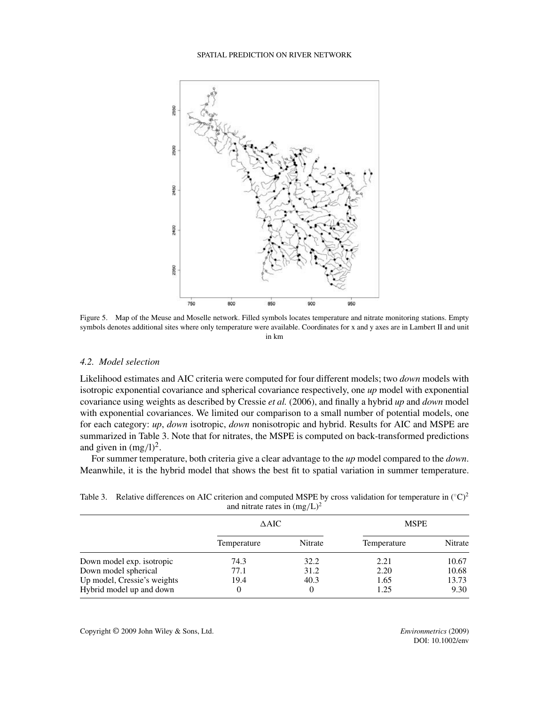#### SPATIAL PREDICTION ON RIVER NETWORK



Figure 5. Map of the Meuse and Moselle network. Filled symbols locates temperature and nitrate monitoring stations. Empty symbols denotes additional sites where only temperature were available. Coordinates for x and y axes are in Lambert II and unit in km

## *4.2. Model selection*

Likelihood estimates and AIC criteria were computed for four different models; two *down* models with isotropic exponential covariance and spherical covariance respectively, one *up* model with exponential covariance using weights as described by Cressie *et al.* (2006), and finally a hybrid *up* and *down* model with exponential covariances. We limited our comparison to a small number of potential models, one for each category: *up*, *down* isotropic, *down* nonisotropic and hybrid. Results for AIC and MSPE are summarized in Table 3. Note that for nitrates, the MSPE is computed on back-transformed predictions and given in  $(mg/l)^2$ .

For summer temperature, both criteria give a clear advantage to the *up* model compared to the *down*. Meanwhile, it is the hybrid model that shows the best fit to spatial variation in summer temperature.

|                             | $\triangle$ AIC |         | <b>MSPE</b> |         |
|-----------------------------|-----------------|---------|-------------|---------|
|                             | Temperature     | Nitrate | Temperature | Nitrate |
| Down model exp. isotropic   | 74.3            | 32.2    | 2.21        | 10.67   |
| Down model spherical        | 77.1            | 31.2    | 2.20        | 10.68   |
| Up model, Cressie's weights | 19.4            | 40.3    | 1.65        | 13.73   |
| Hybrid model up and down    | 0               | 0       | 1.25        | 9.30    |

Table 3. Relative differences on AIC criterion and computed MSPE by cross validation for temperature in  $({}^{\circ}C)^2$ and nitrate rates in (mg*/*L)2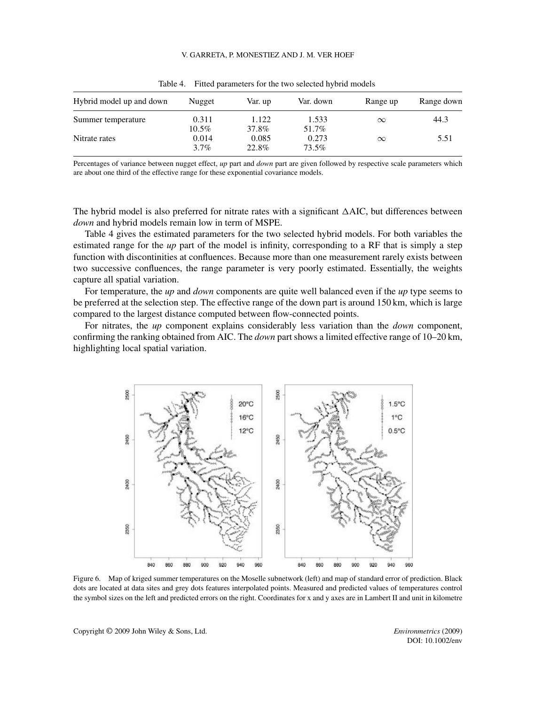| Hybrid model up and down | Nugget            | Var. up        | Var. down      | Range up | Range down |
|--------------------------|-------------------|----------------|----------------|----------|------------|
| Summer temperature       | 0.311<br>$10.5\%$ | 1.122<br>37.8% | 1.533<br>51.7% | $\infty$ | 44.3       |
| Nitrate rates            | 0.014<br>$3.7\%$  | 0.085<br>22.8% | 0.273<br>73.5% | $\infty$ | 5.51       |

Table 4. Fitted parameters for the two selected hybrid models

Percentages of variance between nugget effect, *up* part and *down* part are given followed by respective scale parameters which are about one third of the effective range for these exponential covariance models.

The hybrid model is also preferred for nitrate rates with a significant  $\Delta AIC$ , but differences between *down* and hybrid models remain low in term of MSPE.

Table 4 gives the estimated parameters for the two selected hybrid models. For both variables the estimated range for the *up* part of the model is infinity, corresponding to a RF that is simply a step function with discontinities at confluences. Because more than one measurement rarely exists between two successive confluences, the range parameter is very poorly estimated. Essentially, the weights capture all spatial variation.

For temperature, the *up* and *down* components are quite well balanced even if the *up* type seems to be preferred at the selection step. The effective range of the down part is around 150 km, which is large compared to the largest distance computed between flow-connected points.

For nitrates, the *up* component explains considerably less variation than the *down* component, confirming the ranking obtained from AIC. The *down* part shows a limited effective range of 10–20 km, highlighting local spatial variation.



Figure 6. Map of kriged summer temperatures on the Moselle subnetwork (left) and map of standard error of prediction. Black dots are located at data sites and grey dots features interpolated points. Measured and predicted values of temperatures control the symbol sizes on the left and predicted errors on the right. Coordinates for x and y axes are in Lambert II and unit in kilometre

Copyright © 2009 John Wiley & Sons, Ltd. *Environmetrics* (2009)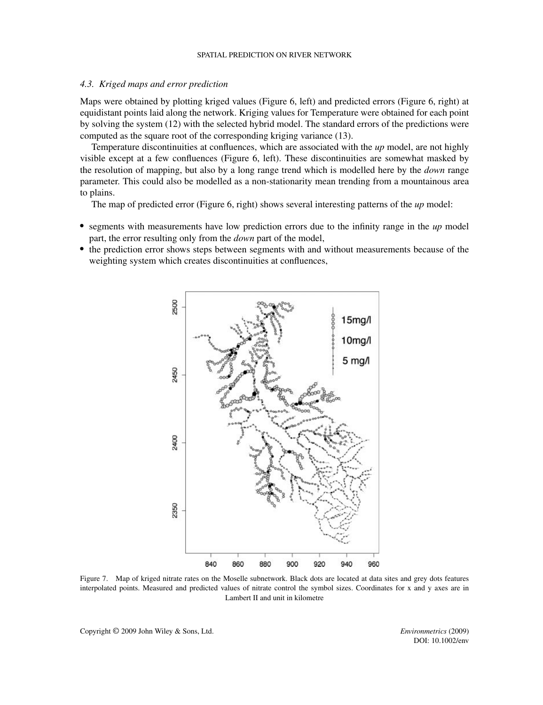#### *4.3. Kriged maps and error prediction*

Maps were obtained by plotting kriged values (Figure 6, left) and predicted errors (Figure 6, right) at equidistant points laid along the network. Kriging values for Temperature were obtained for each point by solving the system (12) with the selected hybrid model. The standard errors of the predictions were computed as the square root of the corresponding kriging variance (13).

Temperature discontinuities at confluences, which are associated with the *up* model, are not highly visible except at a few confluences (Figure 6, left). These discontinuities are somewhat masked by the resolution of mapping, but also by a long range trend which is modelled here by the *down* range parameter. This could also be modelled as a non-stationarity mean trending from a mountainous area to plains.

The map of predicted error (Figure 6, right) shows several interesting patterns of the *up* model:

- segments with measurements have low prediction errors due to the infinity range in the *up* model part, the error resulting only from the *down* part of the model,<br>
• the prediction error shows steps between segments with and without measurements because of the
- weighting system which creates discontinuities at confluences,



Figure 7. Map of kriged nitrate rates on the Moselle subnetwork. Black dots are located at data sites and grey dots features interpolated points. Measured and predicted values of nitrate control the symbol sizes. Coordinates for x and y axes are in Lambert II and unit in kilometre

Copyright © 2009 John Wiley & Sons, Ltd. *Environmetrics* (2009)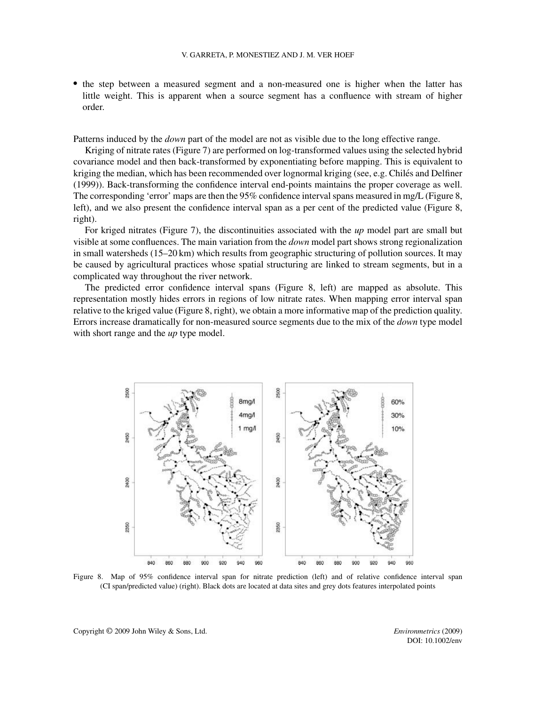the step between a measured segment and a non-measured one is higher when the latter has little weight. This is apparent when a source segment has a confluence with stream of higher order.

Patterns induced by the *down* part of the model are not as visible due to the long effective range.

Kriging of nitrate rates (Figure 7) are performed on log-transformed values using the selected hybrid covariance model and then back-transformed by exponentiating before mapping. This is equivalent to kriging the median, which has been recommended over lognormal kriging (see, e.g. Chiles and Delfiner ´ (1999)). Back-transforming the confidence interval end-points maintains the proper coverage as well. The corresponding 'error' maps are then the 95% confidence interval spans measured in mg/L (Figure 8, left), and we also present the confidence interval span as a per cent of the predicted value (Figure 8, right).

For kriged nitrates (Figure 7), the discontinuities associated with the *up* model part are small but visible at some confluences. The main variation from the *down* model part shows strong regionalization in small watersheds (15–20 km) which results from geographic structuring of pollution sources. It may be caused by agricultural practices whose spatial structuring are linked to stream segments, but in a complicated way throughout the river network.

The predicted error confidence interval spans (Figure 8, left) are mapped as absolute. This representation mostly hides errors in regions of low nitrate rates. When mapping error interval span relative to the kriged value (Figure 8, right), we obtain a more informative map of the prediction quality. Errors increase dramatically for non-measured source segments due to the mix of the *down* type model with short range and the *up* type model.



Figure 8. Map of 95% confidence interval span for nitrate prediction (left) and of relative confidence interval span (CI span/predicted value) (right). Black dots are located at data sites and grey dots features interpolated points

Copyright © 2009 John Wiley & Sons, Ltd. *Environmetrics* (2009)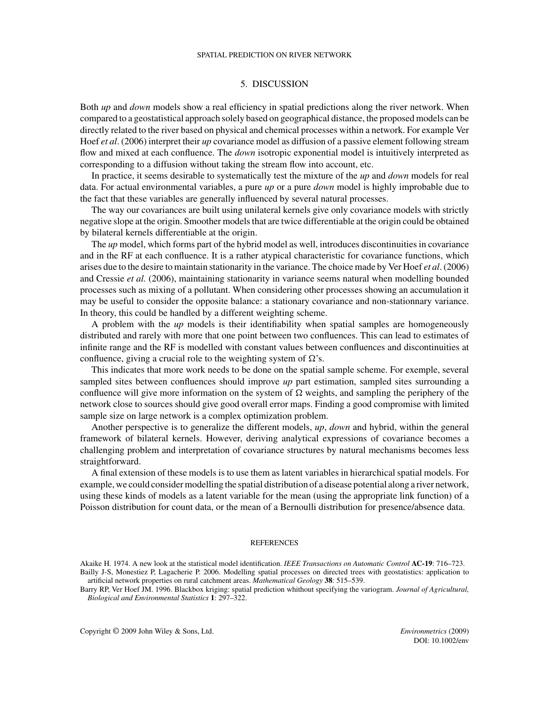#### SPATIAL PREDICTION ON RIVER NETWORK

#### 5. DISCUSSION

Both *up* and *down* models show a real efficiency in spatial predictions along the river network. When compared to a geostatistical approach solely based on geographical distance, the proposed models can be directly related to the river based on physical and chemical processes within a network. For example Ver Hoef *et al*. (2006) interpret their *up* covariance model as diffusion of a passive element following stream flow and mixed at each confluence. The *down* isotropic exponential model is intuitively interpreted as corresponding to a diffusion without taking the stream flow into account, etc.

In practice, it seems desirable to systematically test the mixture of the *up* and *down* models for real data. For actual environmental variables, a pure *up* or a pure *down* model is highly improbable due to the fact that these variables are generally influenced by several natural processes.

The way our covariances are built using unilateral kernels give only covariance models with strictly negative slope at the origin. Smoother models that are twice differentiable at the origin could be obtained by bilateral kernels differentiable at the origin.

The *up* model, which forms part of the hybrid model as well, introduces discontinuities in covariance and in the RF at each confluence. It is a rather atypical characteristic for covariance functions, which arises due to the desire to maintain stationarity in the variance. The choice made by Ver Hoef *et al*. (2006) and Cressie *et al.* (2006), maintaining stationarity in variance seems natural when modelling bounded processes such as mixing of a pollutant. When considering other processes showing an accumulation it may be useful to consider the opposite balance: a stationary covariance and non-stationnary variance. In theory, this could be handled by a different weighting scheme.

A problem with the *up* models is their identifiability when spatial samples are homogeneously distributed and rarely with more that one point between two confluences. This can lead to estimates of infinite range and the RF is modelled with constant values between confluences and discontinuities at confluence, giving a crucial role to the weighting system of  $\Omega$ 's.

This indicates that more work needs to be done on the spatial sample scheme. For exemple, several sampled sites between confluences should improve *up* part estimation, sampled sites surrounding a confluence will give more information on the system of  $\Omega$  weights, and sampling the periphery of the network close to sources should give good overall error maps. Finding a good compromise with limited sample size on large network is a complex optimization problem.

Another perspective is to generalize the different models, *up*, *down* and hybrid, within the general framework of bilateral kernels. However, deriving analytical expressions of covariance becomes a challenging problem and interpretation of covariance structures by natural mechanisms becomes less straightforward.

A final extension of these models is to use them as latent variables in hierarchical spatial models. For example, we could consider modelling the spatial distribution of a disease potential along a river network, using these kinds of models as a latent variable for the mean (using the appropriate link function) of a Poisson distribution for count data, or the mean of a Bernoulli distribution for presence/absence data.

#### **REFERENCES**

Akaike H. 1974. A new look at the statistical model identification. *IEEE Transactions on Automatic Control* **AC-19**: 716–723. Bailly J-S, Monestiez P, Lagacherie P. 2006. Modelling spatial processes on directed trees with geostatistics: application to artificial network properties on rural catchment areas. *Mathematical Geology* **38**: 515–539.

Barry RP, Ver Hoef JM. 1996. Blackbox kriging: spatial prediction whithout specifying the variogram. *Journal of Agricultural, Biological and Environmental Statistics* **1**: 297–322.